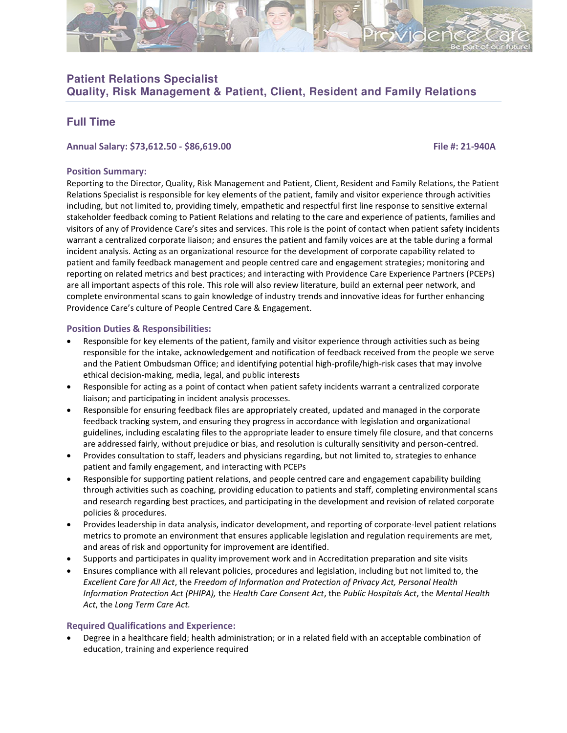

# **Patient Relations Specialist**

**Quality, Risk Management & Patient, Client, Resident and Family Relations** 

## **Full Time**

#### **Annual Salary: \$73,612.50 - \$86,619.00 File #: 21-940A**

#### **Position Summary:**

Reporting to the Director, Quality, Risk Management and Patient, Client, Resident and Family Relations, the Patient Relations Specialist is responsible for key elements of the patient, family and visitor experience through activities including, but not limited to, providing timely, empathetic and respectful first line response to sensitive external stakeholder feedback coming to Patient Relations and relating to the care and experience of patients, families and visitors of any of Providence Care's sites and services. This role is the point of contact when patient safety incidents warrant a centralized corporate liaison; and ensures the patient and family voices are at the table during a formal incident analysis. Acting as an organizational resource for the development of corporate capability related to patient and family feedback management and people centred care and engagement strategies; monitoring and reporting on related metrics and best practices; and interacting with Providence Care Experience Partners (PCEPs) are all important aspects of this role. This role will also review literature, build an external peer network, and complete environmental scans to gain knowledge of industry trends and innovative ideas for further enhancing Providence Care's culture of People Centred Care & Engagement.

### **Position Duties & Responsibilities:**

- Responsible for key elements of the patient, family and visitor experience through activities such as being responsible for the intake, acknowledgement and notification of feedback received from the people we serve and the Patient Ombudsman Office; and identifying potential high-profile/high-risk cases that may involve ethical decision-making, media, legal, and public interests
- Responsible for acting as a point of contact when patient safety incidents warrant a centralized corporate liaison; and participating in incident analysis processes.
- Responsible for ensuring feedback files are appropriately created, updated and managed in the corporate feedback tracking system, and ensuring they progress in accordance with legislation and organizational guidelines, including escalating files to the appropriate leader to ensure timely file closure, and that concerns are addressed fairly, without prejudice or bias, and resolution is culturally sensitivity and person-centred.
- Provides consultation to staff, leaders and physicians regarding, but not limited to, strategies to enhance patient and family engagement, and interacting with PCEPs
- Responsible for supporting patient relations, and people centred care and engagement capability building through activities such as coaching, providing education to patients and staff, completing environmental scans and research regarding best practices, and participating in the development and revision of related corporate policies & procedures.
- Provides leadership in data analysis, indicator development, and reporting of corporate-level patient relations metrics to promote an environment that ensures applicable legislation and regulation requirements are met, and areas of risk and opportunity for improvement are identified.
- Supports and participates in quality improvement work and in Accreditation preparation and site visits
- Ensures compliance with all relevant policies, procedures and legislation, including but not limited to, the *Excellent Care for All Act*, the *Freedom of Information and Protection of Privacy Act, Personal Health Information Protection Act (PHIPA),* the *Health Care Consent Act*, the *Public Hospitals Act*, the *Mental Health Act*, the *Long Term Care Act.*

#### **Required Qualifications and Experience:**

• Degree in a healthcare field; health administration; or in a related field with an acceptable combination of education, training and experience required